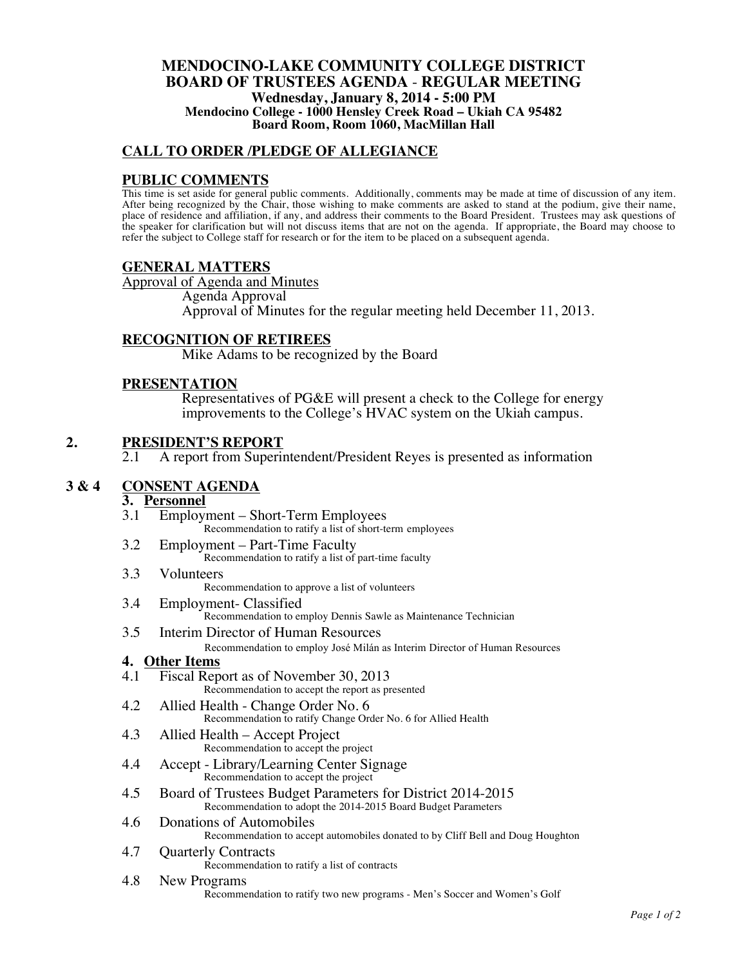#### **MENDOCINO-LAKE COMMUNITY COLLEGE DISTRICT BOARD OF TRUSTEES AGENDA** - **REGULAR MEETING Wednesday, January 8, 2014 - 5:00 PM Mendocino College - 1000 Hensley Creek Road – Ukiah CA 95482 Board Room, Room 1060, MacMillan Hall**

# **CALL TO ORDER /PLEDGE OF ALLEGIANCE**

## **PUBLIC COMMENTS**

This time is set aside for general public comments. Additionally, comments may be made at time of discussion of any item. After being recognized by the Chair, those wishing to make comments are asked to stand at the podium, give their name, place of residence and affiliation, if any, and address their comments to the Board President. Trustees may ask questions of the speaker for clarification but will not discuss items that are not on the agenda. If appropriate, the Board may choose to refer the subject to College staff for research or for the item to be placed on a subsequent agenda.

### **GENERAL MATTERS**

Approval of Agenda and Minutes Agenda Approval Approval of Minutes for the regular meeting held December 11, 2013.

### **RECOGNITION OF RETIREES**

Mike Adams to be recognized by the Board

### **PRESENTATION**

Representatives of PG&E will present a check to the College for energy improvements to the College's HVAC system on the Ukiah campus.

# 2. **PRESIDENT'S REPORT**<br>2.1 A report from Superi

2.1 A report from Superintendent/President Reyes is presented as information

# **3 & 4 CONSENT AGENDA**

# **3. Personnel**

- 3.1 Employment Short-Term Employees Recommendation to ratify a list of short-term employees
- 3.2 Employment Part-Time Faculty Recommendation to ratify a list of part-time faculty

# 3.3 Volunteers

Recommendation to approve a list of volunteers

- 3.4 Employment- Classified Recommendation to employ Dennis Sawle as Maintenance Technician
- 3.5 Interim Director of Human Resources

Recommendation to employ José Milán as Interim Director of Human Resources

- **4. Other Items**
- Fiscal Report as of November 30, 2013 Recommendation to accept the report as presented
- 4.2 Allied Health Change Order No. 6 Recommendation to ratify Change Order No. 6 for Allied Health
- 4.3 Allied Health Accept Project Recommendation to accept the project
- 4.4 Accept Library/Learning Center Signage Recommendation to accept the project
- 4.5 Board of Trustees Budget Parameters for District 2014-2015 Recommendation to adopt the 2014-2015 Board Budget Parameters
- 4.6 Donations of Automobiles Recommendation to accept automobiles donated to by Cliff Bell and Doug Houghton
- 4.7 Quarterly Contracts

Recommendation to ratify a list of contracts

#### 4.8 New Programs

Recommendation to ratify two new programs - Men's Soccer and Women's Golf